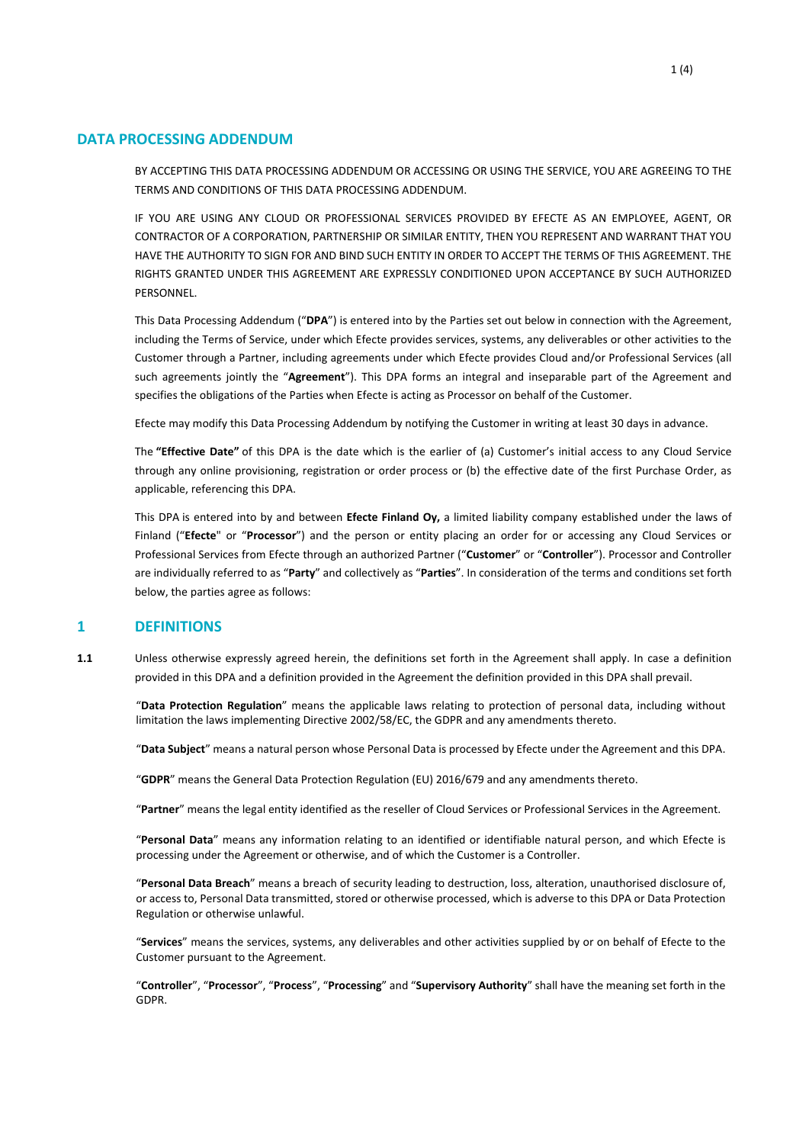#### **DATA PROCESSING ADDENDUM**

BY ACCEPTING THIS DATA PROCESSING ADDENDUM OR ACCESSING OR USING THE SERVICE, YOU ARE AGREEING TO THE TERMS AND CONDITIONS OF THIS DATA PROCESSING ADDENDUM.

IF YOU ARE USING ANY CLOUD OR PROFESSIONAL SERVICES PROVIDED BY EFECTE AS AN EMPLOYEE, AGENT, OR CONTRACTOR OF A CORPORATION, PARTNERSHIP OR SIMILAR ENTITY, THEN YOU REPRESENT AND WARRANT THAT YOU HAVE THE AUTHORITY TO SIGN FOR AND BIND SUCH ENTITY IN ORDER TO ACCEPT THE TERMS OF THIS AGREEMENT. THE RIGHTS GRANTED UNDER THIS AGREEMENT ARE EXPRESSLY CONDITIONED UPON ACCEPTANCE BY SUCH AUTHORIZED PERSONNEL.

This Data Processing Addendum ("**DPA**") is entered into by the Parties set out below in connection with the Agreement, including the Terms of Service, under which Efecte provides services, systems, any deliverables or other activities to the Customer through a Partner, including agreements under which Efecte provides Cloud and/or Professional Services (all such agreements jointly the "**Agreement**"). This DPA forms an integral and inseparable part of the Agreement and specifies the obligations of the Parties when Efecte is acting as Processor on behalf of the Customer.

Efecte may modify this Data Processing Addendum by notifying the Customer in writing at least 30 days in advance.

The **"Effective Date"** of this DPA is the date which is the earlier of (a) Customer's initial access to any Cloud Service through any online provisioning, registration or order process or (b) the effective date of the first Purchase Order, as applicable, referencing this DPA.

This DPA is entered into by and between **Efecte Finland Oy,** a limited liability company established under the laws of Finland ("**Efecte**" or "**Processor**") and the person or entity placing an order for or accessing any Cloud Services or Professional Services from Efecte through an authorized Partner ("**Customer**" or "**Controller**"). Processor and Controller are individually referred to as "**Party**" and collectively as "**Parties**". In consideration of the terms and conditions set forth below, the parties agree as follows:

#### **1 DEFINITIONS**

**1.1** Unless otherwise expressly agreed herein, the definitions set forth in the Agreement shall apply. In case a definition provided in this DPA and a definition provided in the Agreement the definition provided in this DPA shall prevail.

"**Data Protection Regulation**" means the applicable laws relating to protection of personal data, including without limitation the laws implementing Directive 2002/58/EC, the GDPR and any amendments thereto.

"**Data Subject**" means a natural person whose Personal Data is processed by Efecte under the Agreement and this DPA.

"**GDPR**" means the General Data Protection Regulation (EU) 2016/679 and any amendments thereto.

"**Partner**" means the legal entity identified as the reseller of Cloud Services or Professional Services in the Agreement.

"**Personal Data**" means any information relating to an identified or identifiable natural person, and which Efecte is processing under the Agreement or otherwise, and of which the Customer is a Controller.

"**Personal Data Breach**" means a breach of security leading to destruction, loss, alteration, unauthorised disclosure of, or access to, Personal Data transmitted, stored or otherwise processed, which is adverse to this DPA or Data Protection Regulation or otherwise unlawful.

"**Services**" means the services, systems, any deliverables and other activities supplied by or on behalf of Efecte to the Customer pursuant to the Agreement.

"**Controller**", "**Processor**", "**Process**", "**Processing**" and "**Supervisory Authority**" shall have the meaning set forth in the GDPR.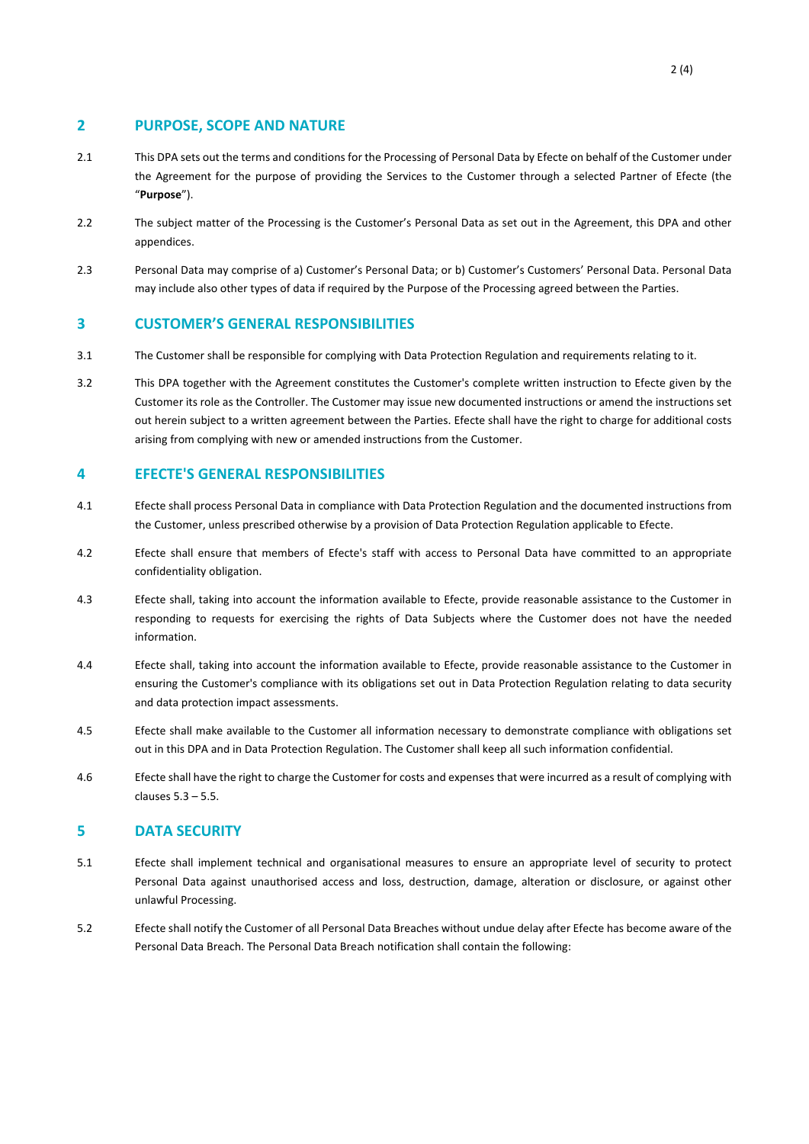# **2 PURPOSE, SCOPE AND NATURE**

- 2.1 This DPA sets out the terms and conditions for the Processing of Personal Data by Efecte on behalf of the Customer under the Agreement for the purpose of providing the Services to the Customer through a selected Partner of Efecte (the "**Purpose**").
- 2.2 The subject matter of the Processing is the Customer's Personal Data as set out in the Agreement, this DPA and other appendices.
- 2.3 Personal Data may comprise of a) Customer's Personal Data; or b) Customer's Customers' Personal Data. Personal Data may include also other types of data if required by the Purpose of the Processing agreed between the Parties.

#### **3 CUSTOMER'S GENERAL RESPONSIBILITIES**

- 3.1 The Customer shall be responsible for complying with Data Protection Regulation and requirements relating to it.
- 3.2 This DPA together with the Agreement constitutes the Customer's complete written instruction to Efecte given by the Customer its role as the Controller. The Customer may issue new documented instructions or amend the instructions set out herein subject to a written agreement between the Parties. Efecte shall have the right to charge for additional costs arising from complying with new or amended instructions from the Customer.

# **4 EFECTE'S GENERAL RESPONSIBILITIES**

- 4.1 Efecte shall process Personal Data in compliance with Data Protection Regulation and the documented instructions from the Customer, unless prescribed otherwise by a provision of Data Protection Regulation applicable to Efecte.
- 4.2 Efecte shall ensure that members of Efecte's staff with access to Personal Data have committed to an appropriate confidentiality obligation.
- 4.3 Efecte shall, taking into account the information available to Efecte, provide reasonable assistance to the Customer in responding to requests for exercising the rights of Data Subjects where the Customer does not have the needed information.
- 4.4 Efecte shall, taking into account the information available to Efecte, provide reasonable assistance to the Customer in ensuring the Customer's compliance with its obligations set out in Data Protection Regulation relating to data security and data protection impact assessments.
- 4.5 Efecte shall make available to the Customer all information necessary to demonstrate compliance with obligations set out in this DPA and in Data Protection Regulation. The Customer shall keep all such information confidential.
- 4.6 Efecte shall have the right to charge the Customer for costs and expenses that were incurred as a result of complying with clauses 5.3 – 5.5.

#### **5 DATA SECURITY**

- 5.1 Efecte shall implement technical and organisational measures to ensure an appropriate level of security to protect Personal Data against unauthorised access and loss, destruction, damage, alteration or disclosure, or against other unlawful Processing.
- 5.2 Efecte shall notify the Customer of all Personal Data Breaches without undue delay after Efecte has become aware of the Personal Data Breach. The Personal Data Breach notification shall contain the following: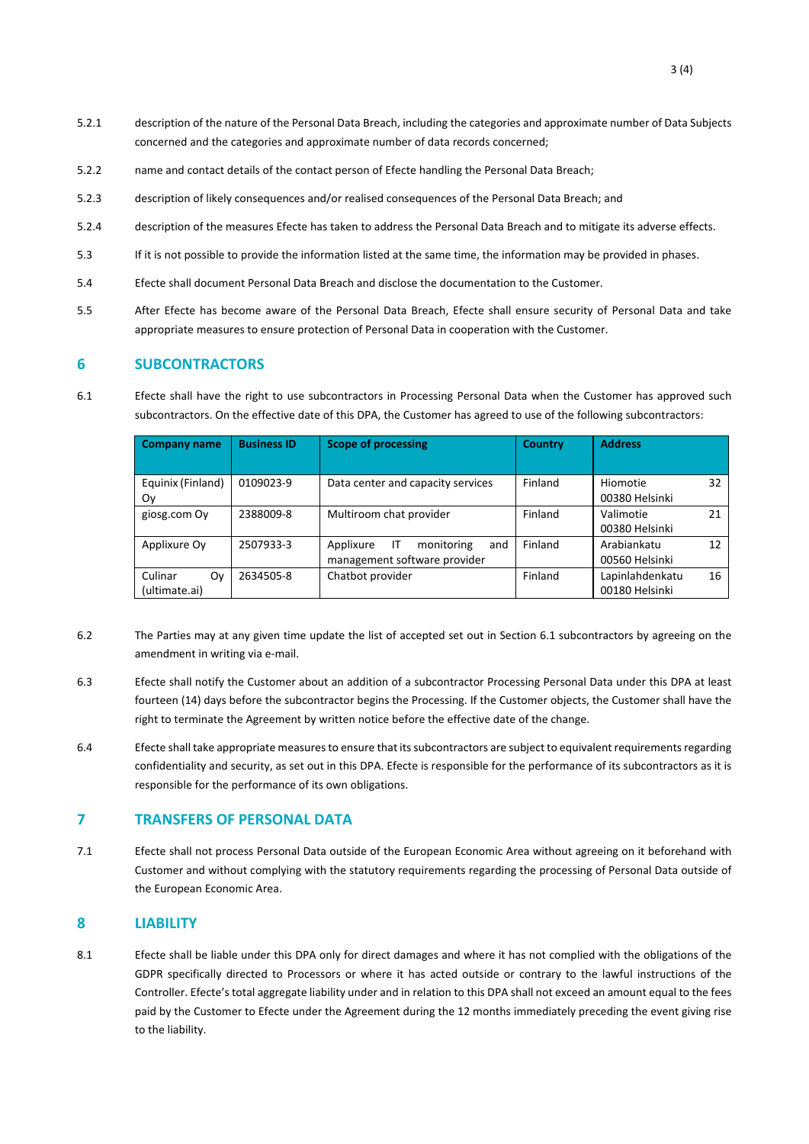- 5.2.1 description of the nature of the Personal Data Breach, including the categories and approximate number of Data Subjects concerned and the categories and approximate number of data records concerned;
- 5.2.2 name and contact details of the contact person of Efecte handling the Personal Data Breach;
- 5.2.3 description of likely consequences and/or realised consequences of the Personal Data Breach; and
- 5.2.4 description of the measures Efecte has taken to address the Personal Data Breach and to mitigate its adverse effects.
- 5.3 If it is not possible to provide the information listed at the same time, the information may be provided in phases.
- 5.4 Efecte shall document Personal Data Breach and disclose the documentation to the Customer.
- 5.5 After Efecte has become aware of the Personal Data Breach, Efecte shall ensure security of Personal Data and take appropriate measures to ensure protection of Personal Data in cooperation with the Customer.

# **6 SUBCONTRACTORS**

<span id="page-2-0"></span>6.1 Efecte shall have the right to use subcontractors in Processing Personal Data when the Customer has approved such subcontractors. On the effective date of this DPA, the Customer has agreed to use of the following subcontractors:

| <b>Company name</b>            | <b>Business ID</b> | <b>Scope of processing</b>                                           | <b>Country</b> | <b>Address</b>                          |
|--------------------------------|--------------------|----------------------------------------------------------------------|----------------|-----------------------------------------|
| Equinix (Finland)<br>Oν        | 0109023-9          | Data center and capacity services                                    | Finland        | Hiomotie<br>32<br>00380 Helsinki        |
| giosg.com Oy                   | 2388009-8          | Multiroom chat provider                                              | Finland        | Valimotie<br>21<br>00380 Helsinki       |
| Applixure Oy                   | 2507933-3          | Applixure<br>ΙT<br>monitoring<br>and<br>management software provider | Finland        | Arabiankatu<br>12<br>00560 Helsinki     |
| Culinar<br>Οv<br>(ultimate.ai) | 2634505-8          | Chatbot provider                                                     | Finland        | Lapinlahdenkatu<br>16<br>00180 Helsinki |

- 6.2 The Parties may at any given time update the list of accepted set out in Section [6.1](#page-2-0) subcontractors by agreeing on the amendment in writing via e-mail.
- 6.3 Efecte shall notify the Customer about an addition of a subcontractor Processing Personal Data under this DPA at least fourteen (14) days before the subcontractor begins the Processing. If the Customer objects, the Customer shall have the right to terminate the Agreement by written notice before the effective date of the change.
- 6.4 Efecte shall take appropriate measures to ensure that its subcontractors are subject to equivalent requirements regarding confidentiality and security, as set out in this DPA. Efecte is responsible for the performance of its subcontractors as it is responsible for the performance of its own obligations.

# **7 TRANSFERS OF PERSONAL DATA**

7.1 Efecte shall not process Personal Data outside of the European Economic Area without agreeing on it beforehand with Customer and without complying with the statutory requirements regarding the processing of Personal Data outside of the European Economic Area.

#### **8 LIABILITY**

8.1 Efecte shall be liable under this DPA only for direct damages and where it has not complied with the obligations of the GDPR specifically directed to Processors or where it has acted outside or contrary to the lawful instructions of the Controller. Efecte's total aggregate liability under and in relation to this DPA shall not exceed an amount equal to the fees paid by the Customer to Efecte under the Agreement during the 12 months immediately preceding the event giving rise to the liability.